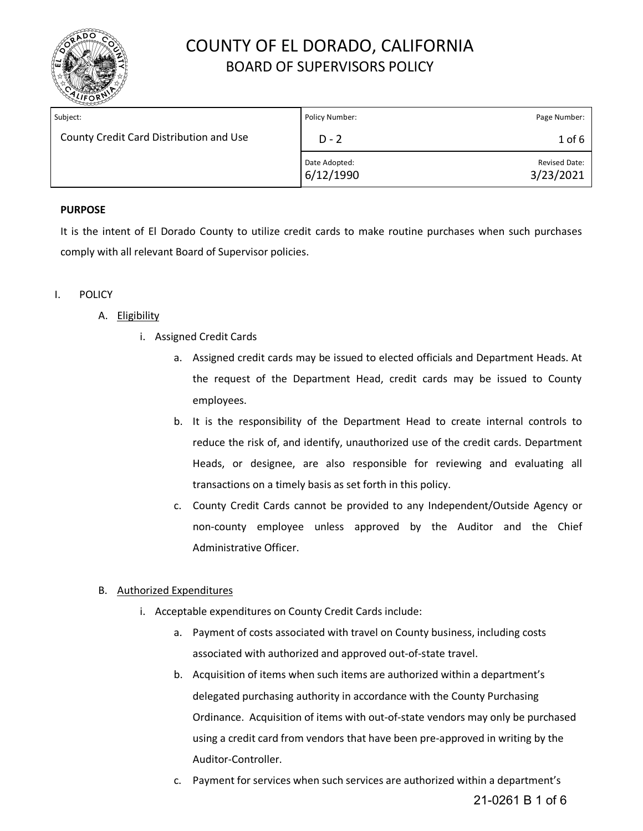

| Subject:                                | Policy Number:             | Page Number:                      |
|-----------------------------------------|----------------------------|-----------------------------------|
| County Credit Card Distribution and Use | $D - 2$                    | $1$ of $6$                        |
|                                         | Date Adopted:<br>6/12/1990 | <b>Revised Date:</b><br>3/23/2021 |

## **PURPOSE**

It is the intent of El Dorado County to utilize credit cards to make routine purchases when such purchases comply with all relevant Board of Supervisor policies.

### I. POLICY

### A. Eligibility

- i. Assigned Credit Cards
	- a. Assigned credit cards may be issued to elected officials and Department Heads. At the request of the Department Head, credit cards may be issued to County employees.
	- b. It is the responsibility of the Department Head to create internal controls to reduce the risk of, and identify, unauthorized use of the credit cards. Department Heads, or designee, are also responsible for reviewing and evaluating all transactions on a timely basis as set forth in this policy.
	- c. County Credit Cards cannot be provided to any Independent/Outside Agency or non-county employee unless approved by the Auditor and the Chief Administrative Officer.

#### B. Authorized Expenditures

- i. Acceptable expenditures on County Credit Cards include:
	- a. Payment of costs associated with travel on County business, including costs associated with authorized and approved out-of-state travel.
	- b. Acquisition of items when such items are authorized within a department's delegated purchasing authority in accordance with the County Purchasing Ordinance. Acquisition of items with out-of-state vendors may only be purchased using a credit card from vendors that have been pre-approved in writing by the Auditor-Controller.
	- c. Payment for services when such services are authorized within a department's 21-0261 B 1 of 6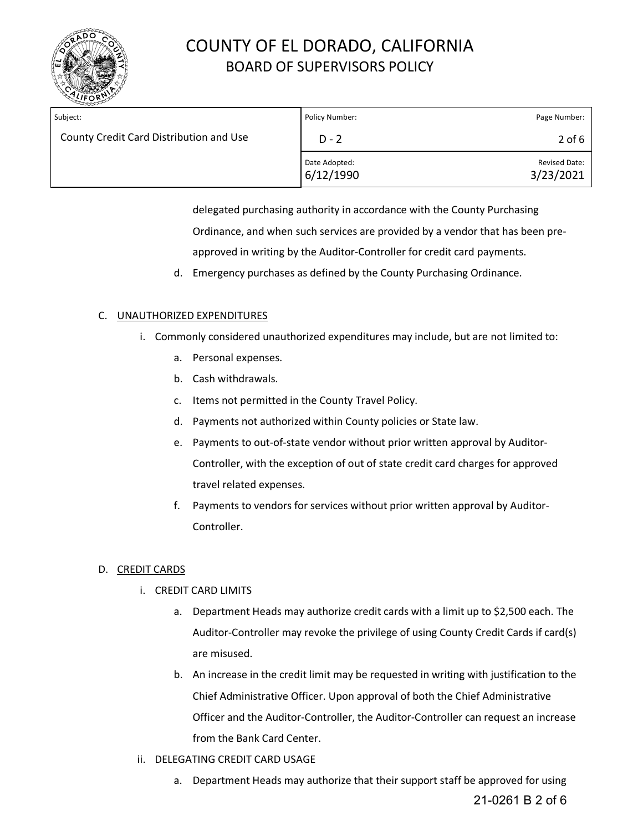

| Subject:                                | Policy Number:             | Page Number:                      |
|-----------------------------------------|----------------------------|-----------------------------------|
| County Credit Card Distribution and Use | $D - 2$                    | $2$ of 6                          |
|                                         | Date Adopted:<br>6/12/1990 | <b>Revised Date:</b><br>3/23/2021 |

delegated purchasing authority in accordance with the County Purchasing Ordinance, and when such services are provided by a vendor that has been preapproved in writing by the Auditor-Controller for credit card payments.

d. Emergency purchases as defined by the County Purchasing Ordinance.

## C. UNAUTHORIZED EXPENDITURES

- i. Commonly considered unauthorized expenditures may include, but are not limited to:
	- a. Personal expenses.
	- b. Cash withdrawals.
	- c. Items not permitted in the County Travel Policy.
	- d. Payments not authorized within County policies or State law.
	- e. Payments to out-of-state vendor without prior written approval by Auditor-Controller, with the exception of out of state credit card charges for approved travel related expenses.
	- f. Payments to vendors for services without prior written approval by Auditor-Controller.

## D. CREDIT CARDS

- i. CREDIT CARD LIMITS
	- a. Department Heads may authorize credit cards with a limit up to \$2,500 each. The Auditor-Controller may revoke the privilege of using County Credit Cards if card(s) are misused.
	- b. An increase in the credit limit may be requested in writing with justification to the Chief Administrative Officer. Upon approval of both the Chief Administrative Officer and the Auditor-Controller, the Auditor-Controller can request an increase from the Bank Card Center.
- ii. DELEGATING CREDIT CARD USAGE
	- a. Department Heads may authorize that their support staff be approved for using 21-0261 B 2 of 6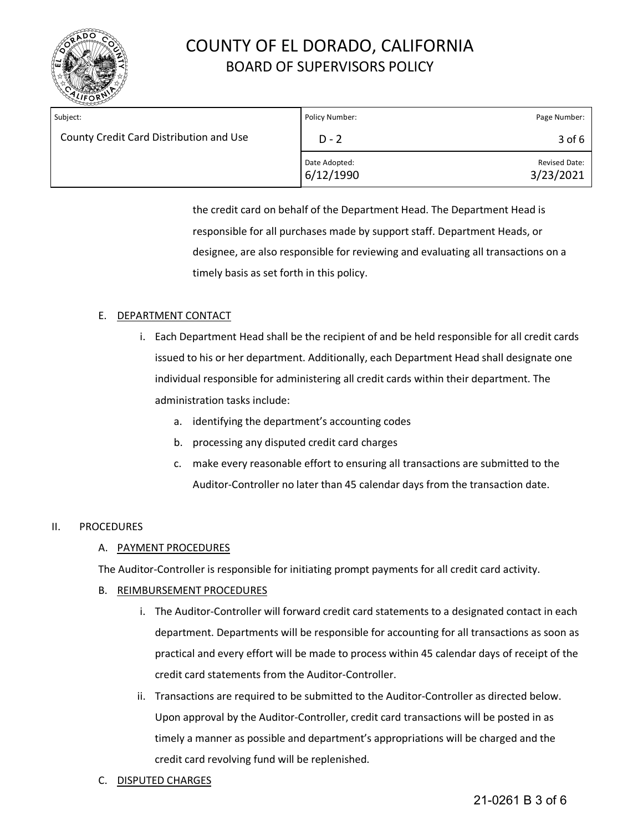

| Subject:                                | Policy Number:             | Page Number:                      |
|-----------------------------------------|----------------------------|-----------------------------------|
| County Credit Card Distribution and Use | $D - 2$                    | $3$ of 6                          |
|                                         | Date Adopted:<br>6/12/1990 | <b>Revised Date:</b><br>3/23/2021 |

the credit card on behalf of the Department Head. The Department Head is responsible for all purchases made by support staff. Department Heads, or designee, are also responsible for reviewing and evaluating all transactions on a timely basis as set forth in this policy.

### E. DEPARTMENT CONTACT

- i. Each Department Head shall be the recipient of and be held responsible for all credit cards issued to his or her department. Additionally, each Department Head shall designate one individual responsible for administering all credit cards within their department. The administration tasks include:
	- a. identifying the department's accounting codes
	- b. processing any disputed credit card charges
	- c. make every reasonable effort to ensuring all transactions are submitted to the Auditor-Controller no later than 45 calendar days from the transaction date.

#### II. PROCEDURES

#### A. PAYMENT PROCEDURES

The Auditor-Controller is responsible for initiating prompt payments for all credit card activity.

#### B. REIMBURSEMENT PROCEDURES

- i. The Auditor-Controller will forward credit card statements to a designated contact in each department. Departments will be responsible for accounting for all transactions as soon as practical and every effort will be made to process within 45 calendar days of receipt of the credit card statements from the Auditor-Controller.
- ii. Transactions are required to be submitted to the Auditor-Controller as directed below. Upon approval by the Auditor-Controller, credit card transactions will be posted in as timely a manner as possible and department's appropriations will be charged and the credit card revolving fund will be replenished.
- C. DISPUTED CHARGES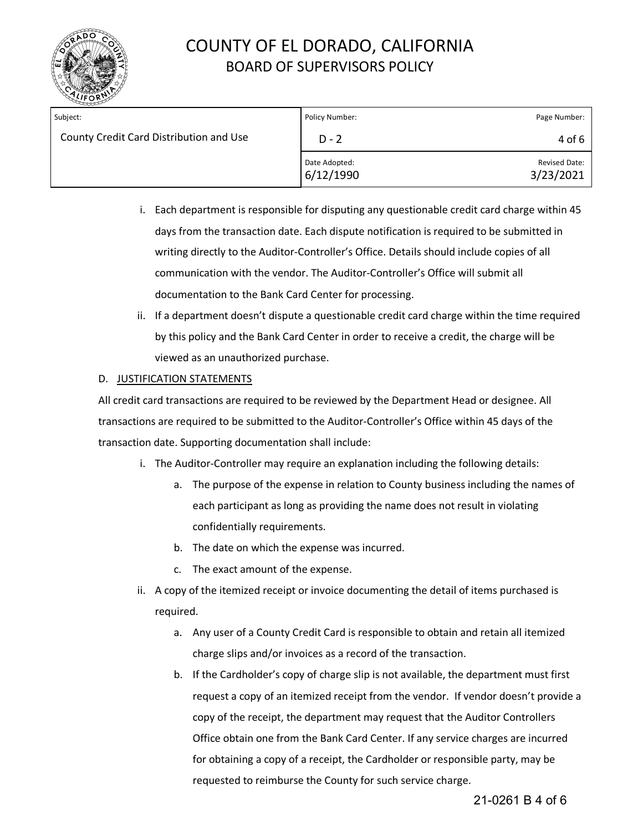

| Subject:                                | Policy Number:             | Page Number:                      |
|-----------------------------------------|----------------------------|-----------------------------------|
| County Credit Card Distribution and Use | $D - 2$                    | 4 of 6                            |
|                                         | Date Adopted:<br>6/12/1990 | <b>Revised Date:</b><br>3/23/2021 |

- i. Each department is responsible for disputing any questionable credit card charge within 45 days from the transaction date. Each dispute notification is required to be submitted in writing directly to the Auditor-Controller's Office. Details should include copies of all communication with the vendor. The Auditor-Controller's Office will submit all documentation to the Bank Card Center for processing.
- ii. If a department doesn't dispute a questionable credit card charge within the time required by this policy and the Bank Card Center in order to receive a credit, the charge will be viewed as an unauthorized purchase.

#### D. JUSTIFICATION STATEMENTS

All credit card transactions are required to be reviewed by the Department Head or designee. All transactions are required to be submitted to the Auditor-Controller's Office within 45 days of the transaction date. Supporting documentation shall include:

- i. The Auditor-Controller may require an explanation including the following details:
	- a. The purpose of the expense in relation to County business including the names of each participant as long as providing the name does not result in violating confidentially requirements.
	- b. The date on which the expense was incurred.
	- c. The exact amount of the expense.
- ii. A copy of the itemized receipt or invoice documenting the detail of items purchased is required.
	- a. Any user of a County Credit Card is responsible to obtain and retain all itemized charge slips and/or invoices as a record of the transaction.
	- b. If the Cardholder's copy of charge slip is not available, the department must first request a copy of an itemized receipt from the vendor. If vendor doesn't provide a copy of the receipt, the department may request that the Auditor Controllers Office obtain one from the Bank Card Center. If any service charges are incurred for obtaining a copy of a receipt, the Cardholder or responsible party, may be requested to reimburse the County for such service charge.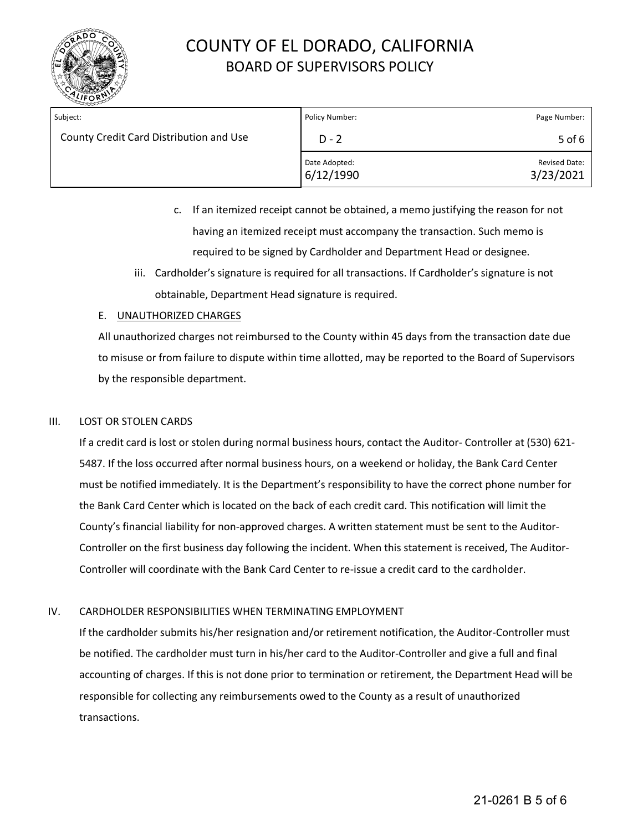

| Subject:                                | Policy Number:             | Page Number:                      |
|-----------------------------------------|----------------------------|-----------------------------------|
| County Credit Card Distribution and Use | $D - 2$                    | 5 of $6$                          |
|                                         | Date Adopted:<br>6/12/1990 | <b>Revised Date:</b><br>3/23/2021 |

- c. If an itemized receipt cannot be obtained, a memo justifying the reason for not having an itemized receipt must accompany the transaction. Such memo is required to be signed by Cardholder and Department Head or designee.
- iii. Cardholder's signature is required for all transactions. If Cardholder's signature is not obtainable, Department Head signature is required.

### E. UNAUTHORIZED CHARGES

All unauthorized charges not reimbursed to the County within 45 days from the transaction date due to misuse or from failure to dispute within time allotted, may be reported to the Board of Supervisors by the responsible department.

### III. LOST OR STOLEN CARDS

If a credit card is lost or stolen during normal business hours, contact the Auditor- Controller at (530) 621- 5487. If the loss occurred after normal business hours, on a weekend or holiday, the Bank Card Center must be notified immediately. It is the Department's responsibility to have the correct phone number for the Bank Card Center which is located on the back of each credit card. This notification will limit the County's financial liability for non-approved charges. A written statement must be sent to the Auditor-Controller on the first business day following the incident. When this statement is received, The Auditor-Controller will coordinate with the Bank Card Center to re-issue a credit card to the cardholder.

## IV. CARDHOLDER RESPONSIBILITIES WHEN TERMINATING EMPLOYMENT

If the cardholder submits his/her resignation and/or retirement notification, the Auditor-Controller must be notified. The cardholder must turn in his/her card to the Auditor-Controller and give a full and final accounting of charges. If this is not done prior to termination or retirement, the Department Head will be responsible for collecting any reimbursements owed to the County as a result of unauthorized transactions.